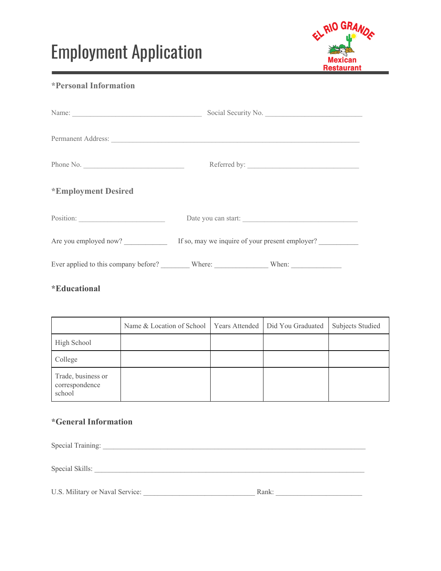# Employment Application



### **\*Personal Information**

|                     | Social Security No.                                                   |  |
|---------------------|-----------------------------------------------------------------------|--|
| Permanent Address:  |                                                                       |  |
| Phone No.           |                                                                       |  |
| *Employment Desired |                                                                       |  |
|                     | Date you can start:                                                   |  |
|                     | Are you employed now? If so, may we inquire of your present employer? |  |
|                     |                                                                       |  |

#### **\*Educational**

|                                                | Name & Location of School | Years Attended | Did You Graduated | <b>Subjects Studied</b> |
|------------------------------------------------|---------------------------|----------------|-------------------|-------------------------|
| High School                                    |                           |                |                   |                         |
| College                                        |                           |                |                   |                         |
| Trade, business or<br>correspondence<br>school |                           |                |                   |                         |

## **\*General Information**

| Special Training:               |       |
|---------------------------------|-------|
| Special Skills:                 |       |
| U.S. Military or Naval Service: | Rank: |